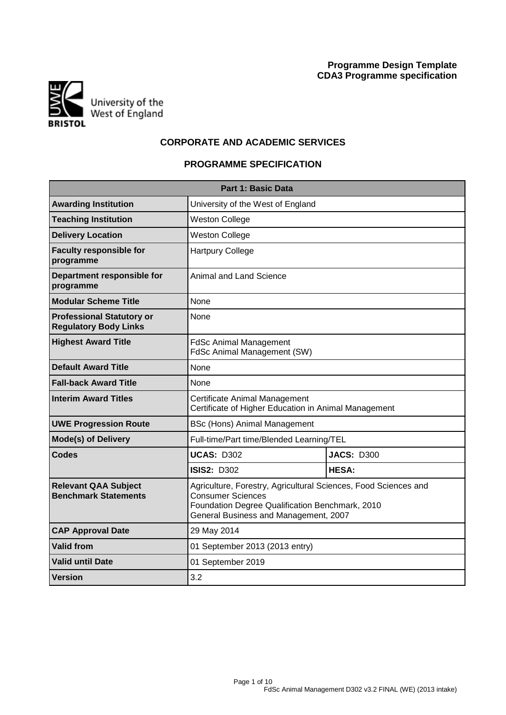

# **CORPORATE AND ACADEMIC SERVICES**

# **PROGRAMME SPECIFICATION**

| <b>Part 1: Basic Data</b>                                        |                                                                                                                                                                                         |                   |  |  |  |  |  |  |
|------------------------------------------------------------------|-----------------------------------------------------------------------------------------------------------------------------------------------------------------------------------------|-------------------|--|--|--|--|--|--|
| <b>Awarding Institution</b><br>University of the West of England |                                                                                                                                                                                         |                   |  |  |  |  |  |  |
| <b>Teaching Institution</b>                                      | <b>Weston College</b>                                                                                                                                                                   |                   |  |  |  |  |  |  |
| <b>Delivery Location</b>                                         | <b>Weston College</b>                                                                                                                                                                   |                   |  |  |  |  |  |  |
| <b>Faculty responsible for</b><br>programme                      | <b>Hartpury College</b>                                                                                                                                                                 |                   |  |  |  |  |  |  |
| Department responsible for<br>programme                          | Animal and Land Science                                                                                                                                                                 |                   |  |  |  |  |  |  |
| <b>Modular Scheme Title</b>                                      | None                                                                                                                                                                                    |                   |  |  |  |  |  |  |
| <b>Professional Statutory or</b><br><b>Regulatory Body Links</b> | None                                                                                                                                                                                    |                   |  |  |  |  |  |  |
| <b>Highest Award Title</b>                                       | <b>FdSc Animal Management</b><br>FdSc Animal Management (SW)                                                                                                                            |                   |  |  |  |  |  |  |
| <b>Default Award Title</b>                                       | None                                                                                                                                                                                    |                   |  |  |  |  |  |  |
| <b>Fall-back Award Title</b>                                     | <b>None</b>                                                                                                                                                                             |                   |  |  |  |  |  |  |
| <b>Interim Award Titles</b>                                      | Certificate Animal Management<br>Certificate of Higher Education in Animal Management                                                                                                   |                   |  |  |  |  |  |  |
| <b>UWE Progression Route</b>                                     | BSc (Hons) Animal Management                                                                                                                                                            |                   |  |  |  |  |  |  |
| <b>Mode(s) of Delivery</b>                                       | Full-time/Part time/Blended Learning/TEL                                                                                                                                                |                   |  |  |  |  |  |  |
| Codes                                                            | <b>UCAS: D302</b>                                                                                                                                                                       | <b>JACS: D300</b> |  |  |  |  |  |  |
|                                                                  | <b>ISIS2: D302</b>                                                                                                                                                                      | <b>HESA:</b>      |  |  |  |  |  |  |
| <b>Relevant QAA Subject</b><br><b>Benchmark Statements</b>       | Agriculture, Forestry, Agricultural Sciences, Food Sciences and<br><b>Consumer Sciences</b><br>Foundation Degree Qualification Benchmark, 2010<br>General Business and Management, 2007 |                   |  |  |  |  |  |  |
| <b>CAP Approval Date</b>                                         | 29 May 2014                                                                                                                                                                             |                   |  |  |  |  |  |  |
| <b>Valid from</b>                                                | 01 September 2013 (2013 entry)                                                                                                                                                          |                   |  |  |  |  |  |  |
| <b>Valid until Date</b>                                          | 01 September 2019                                                                                                                                                                       |                   |  |  |  |  |  |  |
| Version                                                          | 3.2                                                                                                                                                                                     |                   |  |  |  |  |  |  |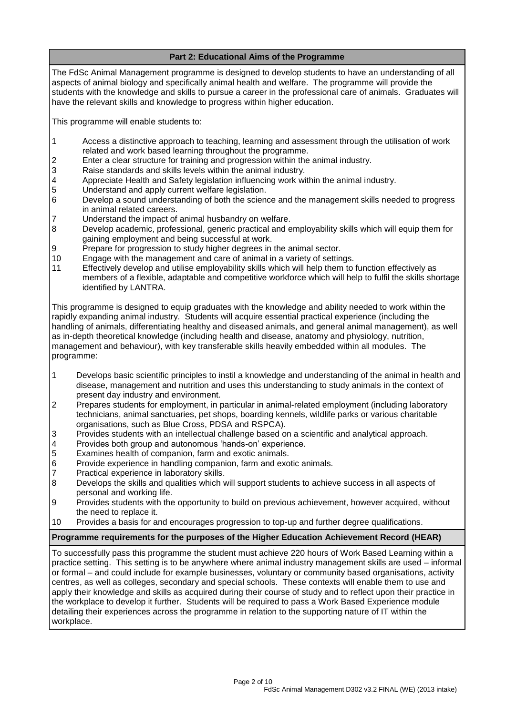# **Part 2: Educational Aims of the Programme**

The FdSc Animal Management programme is designed to develop students to have an understanding of all aspects of animal biology and specifically animal health and welfare. The programme will provide the students with the knowledge and skills to pursue a career in the professional care of animals. Graduates will have the relevant skills and knowledge to progress within higher education.

This programme will enable students to:

- 1 Access a distinctive approach to teaching, learning and assessment through the utilisation of work related and work based learning throughout the programme.
- 2 Enter a clear structure for training and progression within the animal industry.<br>3 Raise standards and skills levels within the animal industry.
- Raise standards and skills levels within the animal industry.
- 4 Appreciate Health and Safety legislation influencing work within the animal industry.<br>5 Understand and apply current welfare legislation.
- Understand and apply current welfare legislation.
- 6 Develop a sound understanding of both the science and the management skills needed to progress in animal related careers.
- 7 Understand the impact of animal husbandry on welfare.
- 8 Develop academic, professional, generic practical and employability skills which will equip them for gaining employment and being successful at work.
- 9 Prepare for progression to study higher degrees in the animal sector.
- 10 Engage with the management and care of animal in a variety of settings.
- 11 Effectively develop and utilise employability skills which will help them to function effectively as members of a flexible, adaptable and competitive workforce which will help to fulfil the skills shortage identified by LANTRA.

This programme is designed to equip graduates with the knowledge and ability needed to work within the rapidly expanding animal industry. Students will acquire essential practical experience (including the handling of animals, differentiating healthy and diseased animals, and general animal management), as well as in-depth theoretical knowledge (including health and disease, anatomy and physiology, nutrition, management and behaviour), with key transferable skills heavily embedded within all modules. The programme:

- 1 Develops basic scientific principles to instil a knowledge and understanding of the animal in health and disease, management and nutrition and uses this understanding to study animals in the context of present day industry and environment.
- 2 Prepares students for employment, in particular in animal-related employment (including laboratory technicians, animal sanctuaries, pet shops, boarding kennels, wildlife parks or various charitable organisations, such as Blue Cross, PDSA and RSPCA).
- 3 Provides students with an intellectual challenge based on a scientific and analytical approach.
- 4 Provides both group and autonomous 'hands-on' experience.<br>5 Examines health of companion, farm and exotic animals.
- Examines health of companion, farm and exotic animals.
- 6 Provide experience in handling companion, farm and exotic animals.
- 7 Practical experience in laboratory skills.
- 8 Develops the skills and qualities which will support students to achieve success in all aspects of personal and working life.
- 9 Provides students with the opportunity to build on previous achievement, however acquired, without the need to replace it.
- 10 Provides a basis for and encourages progression to top-up and further degree qualifications.

## **Programme requirements for the purposes of the Higher Education Achievement Record (HEAR)**

To successfully pass this programme the student must achieve 220 hours of Work Based Learning within a practice setting. This setting is to be anywhere where animal industry management skills are used – informal or formal – and could include for example businesses, voluntary or community based organisations, activity centres, as well as colleges, secondary and special schools. These contexts will enable them to use and apply their knowledge and skills as acquired during their course of study and to reflect upon their practice in the workplace to develop it further. Students will be required to pass a Work Based Experience module detailing their experiences across the programme in relation to the supporting nature of IT within the workplace.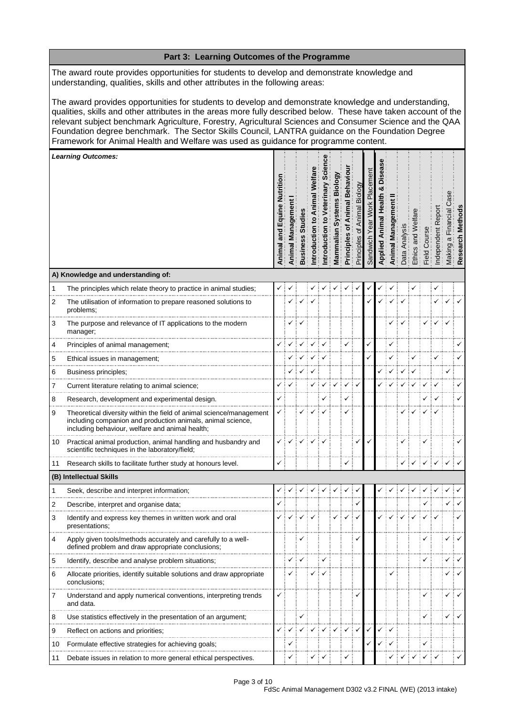|                                                                                                                                                                                                                                                                                                                                                                                                                                                                                                                                 | Part 3: Learning Outcomes of the Programme                                                                                                                                            |                        |                      |                |             |                      |                                      |                                                     |                                      |                              |       |        |              |               |            |            |                                                 |               |
|---------------------------------------------------------------------------------------------------------------------------------------------------------------------------------------------------------------------------------------------------------------------------------------------------------------------------------------------------------------------------------------------------------------------------------------------------------------------------------------------------------------------------------|---------------------------------------------------------------------------------------------------------------------------------------------------------------------------------------|------------------------|----------------------|----------------|-------------|----------------------|--------------------------------------|-----------------------------------------------------|--------------------------------------|------------------------------|-------|--------|--------------|---------------|------------|------------|-------------------------------------------------|---------------|
|                                                                                                                                                                                                                                                                                                                                                                                                                                                                                                                                 | The award route provides opportunities for students to develop and demonstrate knowledge and<br>understanding, qualities, skills and other attributes in the following areas:         |                        |                      |                |             |                      |                                      |                                                     |                                      |                              |       |        |              |               |            |            |                                                 |               |
| The award provides opportunities for students to develop and demonstrate knowledge and understanding,<br>qualities, skills and other attributes in the areas more fully described below. These have taken account of the<br>relevant subject benchmark Agriculture, Forestry, Agricultural Sciences and Consumer Science and the QAA<br>Foundation degree benchmark. The Sector Skills Council, LANTRA guidance on the Foundation Degree<br>Framework for Animal Health and Welfare was used as guidance for programme content. |                                                                                                                                                                                       |                        |                      |                |             |                      |                                      |                                                     |                                      |                              |       |        |              |               |            |            |                                                 |               |
|                                                                                                                                                                                                                                                                                                                                                                                                                                                                                                                                 | <b>Learning Outcomes:</b>                                                                                                                                                             |                        |                      |                |             |                      |                                      |                                                     |                                      |                              |       |        |              |               |            |            |                                                 |               |
|                                                                                                                                                                                                                                                                                                                                                                                                                                                                                                                                 |                                                                                                                                                                                       | Equin<br>and<br>Animal | Managerr<br>Animal I | <b>Busines</b> | ntroduction | inary<br>ntroduction | <u>ම්</u><br>Biol<br>ဖာ<br>Mammalian | Behavi<br>$\overline{\text{ma}}$<br>৳<br>Principles | Biology<br>Animal<br>đ<br>Principles | ēπ<br>lacem<br>ᇟ<br>Sandwich | Appli | Animal | Anai<br>Data | and<br>Ethics | Field Cour | ndependent | $\overline{\overline{c}}$<br>$\varpi$<br>Making | Method<br>Res |
|                                                                                                                                                                                                                                                                                                                                                                                                                                                                                                                                 | A) Knowledge and understanding of:                                                                                                                                                    |                        |                      |                |             |                      |                                      |                                                     |                                      |                              |       |        |              |               |            |            |                                                 |               |
| 1                                                                                                                                                                                                                                                                                                                                                                                                                                                                                                                               | The principles which relate theory to practice in animal studies;                                                                                                                     |                        |                      |                |             |                      |                                      |                                                     |                                      |                              |       |        |              |               |            |            |                                                 |               |
| 2                                                                                                                                                                                                                                                                                                                                                                                                                                                                                                                               | The utilisation of information to prepare reasoned solutions to<br>problems;                                                                                                          |                        |                      |                |             |                      |                                      |                                                     |                                      |                              |       |        |              |               |            |            |                                                 |               |
| 3                                                                                                                                                                                                                                                                                                                                                                                                                                                                                                                               | The purpose and relevance of IT applications to the modern<br>manager;                                                                                                                |                        |                      |                |             |                      |                                      |                                                     |                                      |                              |       |        |              |               |            |            |                                                 |               |
| 4                                                                                                                                                                                                                                                                                                                                                                                                                                                                                                                               | Principles of animal management;                                                                                                                                                      |                        |                      |                |             |                      |                                      |                                                     |                                      |                              |       |        |              |               |            |            |                                                 |               |
| 5                                                                                                                                                                                                                                                                                                                                                                                                                                                                                                                               | Ethical issues in management;                                                                                                                                                         |                        |                      |                |             |                      |                                      |                                                     |                                      |                              |       |        |              |               |            |            |                                                 |               |
| 6                                                                                                                                                                                                                                                                                                                                                                                                                                                                                                                               | Business principles;                                                                                                                                                                  |                        |                      |                |             |                      |                                      |                                                     |                                      |                              |       |        |              |               |            |            |                                                 |               |
| 7                                                                                                                                                                                                                                                                                                                                                                                                                                                                                                                               | Current literature relating to animal science;                                                                                                                                        | ✓                      |                      |                |             |                      |                                      |                                                     |                                      |                              |       |        |              |               |            |            |                                                 |               |
| 8                                                                                                                                                                                                                                                                                                                                                                                                                                                                                                                               | Research, development and experimental design.                                                                                                                                        |                        |                      |                |             |                      |                                      | ✓                                                   |                                      |                              |       |        |              |               |            |            |                                                 |               |
| 9                                                                                                                                                                                                                                                                                                                                                                                                                                                                                                                               | Theoretical diversity within the field of animal science/management<br>including companion and production animals, animal science,<br>including behaviour, welfare and animal health; | ✓                      |                      |                |             |                      |                                      |                                                     |                                      |                              |       |        |              |               |            |            |                                                 |               |
| 10                                                                                                                                                                                                                                                                                                                                                                                                                                                                                                                              | Practical animal production, animal handling and husbandry and<br>scientific techniques in the laboratory/field;                                                                      |                        |                      |                |             |                      |                                      |                                                     |                                      |                              |       |        |              |               |            |            |                                                 |               |
| 11                                                                                                                                                                                                                                                                                                                                                                                                                                                                                                                              | Research skills to facilitate further study at honours level.                                                                                                                         | ✓                      |                      |                |             |                      |                                      | ✓                                                   |                                      |                              |       |        |              |               |            |            |                                                 |               |
|                                                                                                                                                                                                                                                                                                                                                                                                                                                                                                                                 | (B) Intellectual Skills                                                                                                                                                               |                        |                      |                |             |                      |                                      |                                                     |                                      |                              |       |        |              |               |            |            |                                                 |               |
| 1                                                                                                                                                                                                                                                                                                                                                                                                                                                                                                                               | Seek, describe and interpret information;                                                                                                                                             |                        |                      |                |             |                      |                                      |                                                     |                                      |                              |       |        |              |               |            |            |                                                 |               |
| 2                                                                                                                                                                                                                                                                                                                                                                                                                                                                                                                               | Describe, interpret and organise data;                                                                                                                                                |                        |                      |                |             |                      |                                      |                                                     |                                      |                              |       |        |              |               |            |            |                                                 |               |
| 3                                                                                                                                                                                                                                                                                                                                                                                                                                                                                                                               | Identify and express key themes in written work and oral<br>presentations;                                                                                                            |                        |                      |                |             |                      |                                      |                                                     |                                      |                              |       |        |              |               |            |            |                                                 |               |
| 4                                                                                                                                                                                                                                                                                                                                                                                                                                                                                                                               | Apply given tools/methods accurately and carefully to a well-<br>defined problem and draw appropriate conclusions;                                                                    |                        |                      |                |             |                      |                                      |                                                     |                                      |                              |       |        |              |               |            |            |                                                 |               |
| 5                                                                                                                                                                                                                                                                                                                                                                                                                                                                                                                               | Identify, describe and analyse problem situations;                                                                                                                                    |                        |                      |                |             |                      |                                      |                                                     |                                      |                              |       |        |              |               |            |            |                                                 |               |
| 6                                                                                                                                                                                                                                                                                                                                                                                                                                                                                                                               | Allocate priorities, identify suitable solutions and draw appropriate<br>conclusions;                                                                                                 |                        |                      |                |             |                      |                                      |                                                     |                                      |                              |       |        |              |               |            |            |                                                 |               |
| 7                                                                                                                                                                                                                                                                                                                                                                                                                                                                                                                               | Understand and apply numerical conventions, interpreting trends<br>and data.                                                                                                          |                        |                      |                |             |                      |                                      |                                                     |                                      |                              |       |        |              |               |            |            |                                                 |               |
| 8                                                                                                                                                                                                                                                                                                                                                                                                                                                                                                                               | Use statistics effectively in the presentation of an argument;                                                                                                                        |                        |                      |                |             |                      |                                      |                                                     |                                      |                              |       |        |              |               |            |            |                                                 |               |
| 9                                                                                                                                                                                                                                                                                                                                                                                                                                                                                                                               | Reflect on actions and priorities;                                                                                                                                                    |                        |                      |                |             |                      |                                      |                                                     | $\checkmark$                         |                              |       | ✓      |              |               |            |            |                                                 |               |
| 10                                                                                                                                                                                                                                                                                                                                                                                                                                                                                                                              | Formulate effective strategies for achieving goals;                                                                                                                                   |                        | ✓                    |                |             |                      |                                      |                                                     |                                      |                              |       |        |              |               | ✓          |            |                                                 |               |
| 11                                                                                                                                                                                                                                                                                                                                                                                                                                                                                                                              | Debate issues in relation to more general ethical perspectives.                                                                                                                       |                        | ✓                    |                |             |                      |                                      |                                                     |                                      |                              |       |        |              |               | ✓          |            |                                                 |               |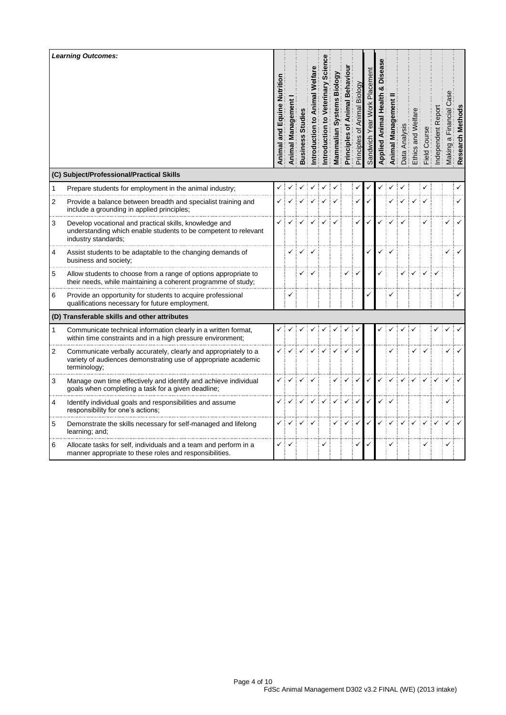|              | <b>Learning Outcomes:</b><br>(C) Subject/Professional/Practical Skills                                                                            | Nutritior<br>and Equine<br>Animal | Animal Managem | Busines | ntroduction | ntroduction | iol<br>Mammalian | Behavi<br>mal<br>ō<br>Principles | Biology<br>ᡃᡠ<br>Principles | acer | ilda | ಸ | Ethics | <b>Field</b> | ω<br>ð<br>ब<br>ब |  |
|--------------|---------------------------------------------------------------------------------------------------------------------------------------------------|-----------------------------------|----------------|---------|-------------|-------------|------------------|----------------------------------|-----------------------------|------|------|---|--------|--------------|------------------|--|
| $\mathbf{1}$ | Prepare students for employment in the animal industry;                                                                                           |                                   |                |         |             |             |                  |                                  |                             |      |      |   |        |              |                  |  |
| 2            | Provide a balance between breadth and specialist training and<br>include a grounding in applied principles;                                       |                                   |                |         |             |             |                  |                                  |                             |      |      |   |        |              |                  |  |
| 3            | Develop vocational and practical skills, knowledge and<br>understanding which enable students to be competent to relevant<br>industry standards:  |                                   |                |         |             |             |                  |                                  |                             |      |      |   |        |              |                  |  |
| 4            | Assist students to be adaptable to the changing demands of<br>business and society;                                                               |                                   |                |         |             |             |                  |                                  |                             |      |      |   |        |              |                  |  |
| 5            | Allow students to choose from a range of options appropriate to<br>their needs, while maintaining a coherent programme of study;                  |                                   |                |         |             |             |                  |                                  |                             |      |      |   |        |              |                  |  |
| 6            | Provide an opportunity for students to acquire professional<br>qualifications necessary for future employment.                                    |                                   | ٧              |         |             |             |                  |                                  |                             |      |      |   |        |              |                  |  |
|              | (D) Transferable skills and other attributes                                                                                                      |                                   |                |         |             |             |                  |                                  |                             |      |      |   |        |              |                  |  |
| 1            | Communicate technical information clearly in a written format,<br>within time constraints and in a high pressure environment;                     |                                   |                |         |             |             |                  |                                  |                             |      |      |   |        |              |                  |  |
| 2            | Communicate verbally accurately, clearly and appropriately to a<br>variety of audiences demonstrating use of appropriate academic<br>terminology; |                                   |                |         |             |             |                  |                                  |                             |      |      |   |        |              |                  |  |
| 3            | Manage own time effectively and identify and achieve individual<br>goals when completing a task for a given deadline;                             |                                   |                |         |             |             |                  |                                  |                             |      |      |   |        |              |                  |  |
| 4            | Identify individual goals and responsibilities and assume<br>responsibility for one's actions;                                                    |                                   |                |         |             |             |                  |                                  |                             |      |      |   |        |              |                  |  |
| 5            | Demonstrate the skills necessary for self-managed and lifelong<br>learning; and;                                                                  |                                   |                |         |             |             |                  |                                  |                             |      |      |   |        |              |                  |  |
| 6            | Allocate tasks for self, individuals and a team and perform in a<br>manner appropriate to these roles and responsibilities.                       | ✓                                 |                |         |             |             |                  |                                  |                             |      |      |   |        | ✓            |                  |  |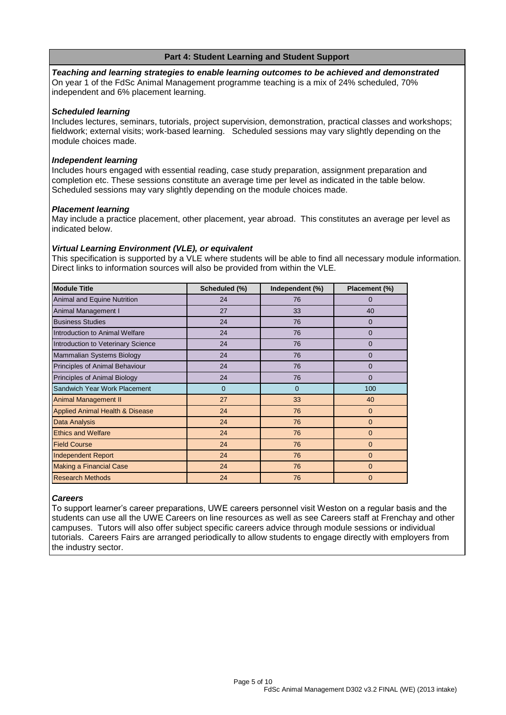## **Part 4: Student Learning and Student Support**

*Teaching and learning strategies to enable learning outcomes to be achieved and demonstrated* On year 1 of the FdSc Animal Management programme teaching is a mix of 24% scheduled, 70% independent and 6% placement learning.

### *Scheduled learning*

Includes lectures, seminars, tutorials, project supervision, demonstration, practical classes and workshops; fieldwork; external visits; work-based learning. Scheduled sessions may vary slightly depending on the module choices made.

#### *Independent learning*

Includes hours engaged with essential reading, case study preparation, assignment preparation and completion etc. These sessions constitute an average time per level as indicated in the table below. Scheduled sessions may vary slightly depending on the module choices made.

#### *Placement learning*

May include a practice placement, other placement, year abroad. This constitutes an average per level as indicated below.

#### *Virtual Learning Environment (VLE), or equivalent*

This specification is supported by a VLE where students will be able to find all necessary module information. Direct links to information sources will also be provided from within the VLE.

| <b>Module Title</b>                        | Scheduled (%) | Independent (%) | Placement (%)  |
|--------------------------------------------|---------------|-----------------|----------------|
| Animal and Equine Nutrition                | 24            | 76              | 0              |
| Animal Management I                        | 27            | 33              | 40             |
| <b>Business Studies</b>                    | 24            | 76              | 0              |
| Introduction to Animal Welfare             | 24            | 76              | $\overline{0}$ |
| Introduction to Veterinary Science         | 24            | 76              | $\Omega$       |
| Mammalian Systems Biology                  | 24            | 76              | 0              |
| Principles of Animal Behaviour             | 24            | 76              | 0              |
| Principles of Animal Biology               | 24            | 76              | $\Omega$       |
| Sandwich Year Work Placement               | $\mathbf{0}$  | $\mathbf{0}$    | 100            |
| <b>Animal Management II</b>                | 27            | 33              | 40             |
| <b>Applied Animal Health &amp; Disease</b> | 24            | 76              | $\mathbf 0$    |
| Data Analysis                              | 24            | 76              | $\mathbf 0$    |
| <b>Ethics and Welfare</b>                  | 24            | 76              | $\mathbf{0}$   |
| <b>Field Course</b>                        | 24            | 76              | $\mathbf{0}$   |
| <b>Independent Report</b>                  | 24            | 76              | $\mathbf{0}$   |
| <b>Making a Financial Case</b>             | 24            | 76              | $\Omega$       |
| <b>Research Methods</b>                    | 24            | 76              | $\mathbf{0}$   |

## *Careers*

To support learner's career preparations, UWE careers personnel visit Weston on a regular basis and the students can use all the UWE Careers on line resources as well as see Careers staff at Frenchay and other campuses. Tutors will also offer subject specific careers advice through module sessions or individual tutorials. Careers Fairs are arranged periodically to allow students to engage directly with employers from the industry sector.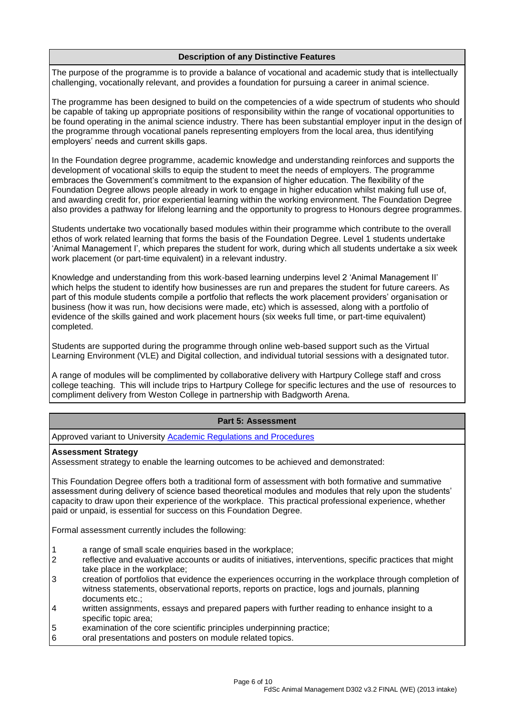# **Description of any Distinctive Features**

The purpose of the programme is to provide a balance of vocational and academic study that is intellectually challenging, vocationally relevant, and provides a foundation for pursuing a career in animal science.

The programme has been designed to build on the competencies of a wide spectrum of students who should be capable of taking up appropriate positions of responsibility within the range of vocational opportunities to be found operating in the animal science industry. There has been substantial employer input in the design of the programme through vocational panels representing employers from the local area, thus identifying employers' needs and current skills gaps.

In the Foundation degree programme, academic knowledge and understanding reinforces and supports the development of vocational skills to equip the student to meet the needs of employers. The programme embraces the Government's commitment to the expansion of higher education. The flexibility of the Foundation Degree allows people already in work to engage in higher education whilst making full use of, and awarding credit for, prior experiential learning within the working environment. The Foundation Degree also provides a pathway for lifelong learning and the opportunity to progress to Honours degree programmes.

Students undertake two vocationally based modules within their programme which contribute to the overall ethos of work related learning that forms the basis of the Foundation Degree. Level 1 students undertake 'Animal Management I', which prepares the student for work, during which all students undertake a six week work placement (or part-time equivalent) in a relevant industry.

Knowledge and understanding from this work-based learning underpins level 2 'Animal Management II' which helps the student to identify how businesses are run and prepares the student for future careers. As part of this module students compile a portfolio that reflects the work placement providers' organisation or business (how it was run, how decisions were made, etc) which is assessed, along with a portfolio of evidence of the skills gained and work placement hours (six weeks full time, or part-time equivalent) completed.

Students are supported during the programme through online web-based support such as the Virtual Learning Environment (VLE) and Digital collection, and individual tutorial sessions with a designated tutor.

A range of modules will be complimented by collaborative delivery with Hartpury College staff and cross college teaching. This will include trips to Hartpury College for specific lectures and the use of resources to compliment delivery from Weston College in partnership with Badgworth Arena.

## **Part 5: Assessment**

Approved variant to University [Academic Regulations and Procedures](http://www1.uwe.ac.uk/students/academicadvice/assessments/regulationsandprocedures.aspx)

#### **Assessment Strategy**

Assessment strategy to enable the learning outcomes to be achieved and demonstrated:

This Foundation Degree offers both a traditional form of assessment with both formative and summative assessment during delivery of science based theoretical modules and modules that rely upon the students' capacity to draw upon their experience of the workplace. This practical professional experience, whether paid or unpaid, is essential for success on this Foundation Degree.

Formal assessment currently includes the following:

- 1 a range of small scale enquiries based in the workplace;
- 2 reflective and evaluative accounts or audits of initiatives, interventions, specific practices that might take place in the workplace;
- 3 creation of portfolios that evidence the experiences occurring in the workplace through completion of witness statements, observational reports, reports on practice, logs and journals, planning documents etc.;
- 4 written assignments, essays and prepared papers with further reading to enhance insight to a specific topic area;
- 5 examination of the core scientific principles underpinning practice;<br>6 oral presentations and posters on module related topics.
- oral presentations and posters on module related topics.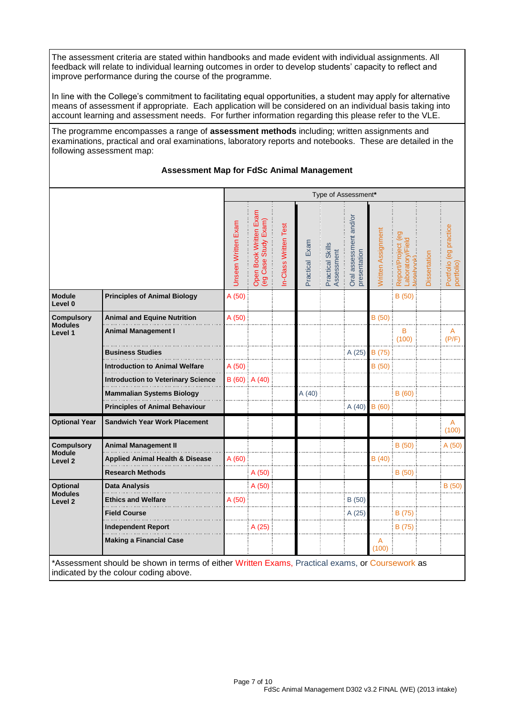The assessment criteria are stated within handbooks and made evident with individual assignments. All feedback will relate to individual learning outcomes in order to develop students' capacity to reflect and improve performance during the course of the programme.

In line with the College's commitment to facilitating equal opportunities, a student may apply for alternative means of assessment if appropriate. Each application will be considered on an individual basis taking into account learning and assessment needs. For further information regarding this please refer to the VLE.

The programme encompasses a range of **assessment methods** including; written assignments and examinations, practical and oral examinations, laboratory reports and notebooks. These are detailed in the following assessment map:

### **Assessment Map for FdSc Animal Management**

|                                      |                                            | Type of Assessment* |                                                |                      |                |                                |                                        |                    |                                                                    |              |                                      |
|--------------------------------------|--------------------------------------------|---------------------|------------------------------------------------|----------------------|----------------|--------------------------------|----------------------------------------|--------------------|--------------------------------------------------------------------|--------------|--------------------------------------|
|                                      |                                            | Unseen Written Exam | Open Book Written Exam<br>(eg Case Study Exam) | n-Class Written Test | Practical Exam | Practical Skills<br>Assessment | Oral assessment and/or<br>presentation | Written Assignment | $\overline{69}$<br>Laboratory/Field<br>Report/Project<br>Motebook) | Dissertation | Portfolio (eg practice<br>portfolio) |
| <b>Module</b><br>Level 0             | <b>Principles of Animal Biology</b>        | A (50)              |                                                |                      |                |                                |                                        |                    | B(50)                                                              |              |                                      |
| <b>Compulsory</b>                    | <b>Animal and Equine Nutrition</b>         | A(50)               |                                                |                      |                |                                |                                        | B(50)              |                                                                    |              |                                      |
| <b>Modules</b><br>Level 1            | <b>Animal Management I</b>                 |                     |                                                |                      |                |                                |                                        |                    | B<br>(100)                                                         |              | A<br>(P/F)                           |
|                                      | <b>Business Studies</b>                    |                     |                                                |                      |                |                                | A (25)                                 | B (75)             |                                                                    |              |                                      |
|                                      | Introduction to Animal Welfare             | A (50)              |                                                |                      |                |                                |                                        | B (50)             |                                                                    |              |                                      |
|                                      | <b>Introduction to Veterinary Science</b>  |                     | $B(60)$ A $(40)$                               |                      |                |                                |                                        |                    |                                                                    |              |                                      |
|                                      | <b>Mammalian Systems Biology</b>           |                     |                                                |                      | A(40)          |                                |                                        |                    | B(60)                                                              |              |                                      |
|                                      | <b>Principles of Animal Behaviour</b>      |                     |                                                |                      |                |                                | A(40)                                  | B(60)              |                                                                    |              |                                      |
| <b>Optional Year</b>                 | <b>Sandwich Year Work Placement</b>        |                     |                                                |                      |                |                                |                                        |                    |                                                                    |              | A<br>(100)                           |
| <b>Compulsory</b>                    | <b>Animal Management II</b>                |                     |                                                |                      |                |                                |                                        |                    | B(50)                                                              |              | A(50)                                |
| <b>Module</b><br>Level <sub>2</sub>  | <b>Applied Animal Health &amp; Disease</b> | A(60)               |                                                |                      |                |                                |                                        | B (40)             |                                                                    |              |                                      |
|                                      | <b>Research Methods</b>                    |                     | A(50)                                          |                      |                |                                |                                        |                    | B(50)                                                              |              |                                      |
| Optional                             | Data Analysis                              |                     | A(50)                                          |                      |                |                                |                                        |                    |                                                                    |              | B(50)                                |
| <b>Modules</b><br>Level <sub>2</sub> | <b>Ethics and Welfare</b>                  | A (50)              |                                                |                      |                |                                | B(50)                                  |                    |                                                                    |              |                                      |
|                                      | <b>Field Course</b>                        |                     |                                                |                      |                |                                | A (25)                                 |                    | B (75)                                                             |              |                                      |
|                                      | <b>Independent Report</b>                  |                     | A (25)                                         |                      |                |                                |                                        |                    | B (75)                                                             |              |                                      |
|                                      | <b>Making a Financial Case</b>             |                     |                                                |                      |                |                                |                                        | A<br>(100)         |                                                                    |              |                                      |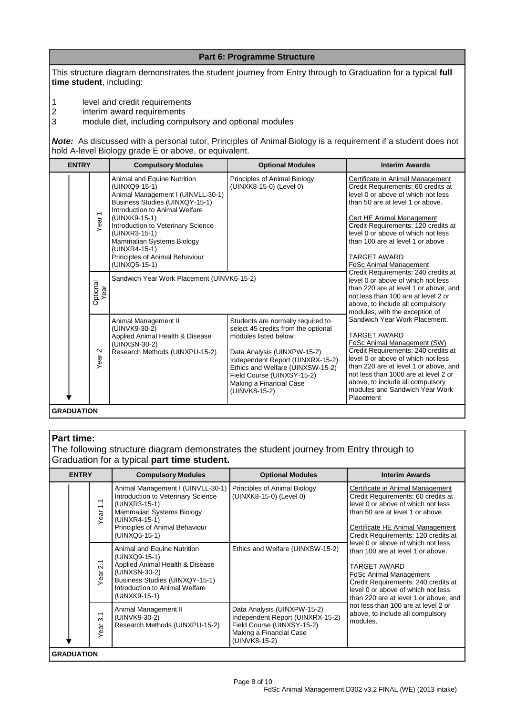This structure diagram demonstrates the student journey from Entry through to Graduation for a typical **full time student**, including:

**Part 6: Programme Structure**

1 level and credit requirements<br>
2 interim award requirements<br>
3 module diet, including compu

interim award requirements

3 module diet, including compulsory and optional modules

*Note:*As discussed with a personal tutor, Principles of Animal Biology is a requirement if a student does not hold A-level Biology grade E or above, or equivalent.

| <b>ENTRY</b>      |                                  | <b>Compulsory Modules</b>                                                                                                                                                                                                                                                                                                      | <b>Optional Modules</b>                                                                                                                                                                                                                                                            | <b>Interim Awards</b>                                                                                                                                                                                                                                                                                                                                  |
|-------------------|----------------------------------|--------------------------------------------------------------------------------------------------------------------------------------------------------------------------------------------------------------------------------------------------------------------------------------------------------------------------------|------------------------------------------------------------------------------------------------------------------------------------------------------------------------------------------------------------------------------------------------------------------------------------|--------------------------------------------------------------------------------------------------------------------------------------------------------------------------------------------------------------------------------------------------------------------------------------------------------------------------------------------------------|
|                   | $\overline{\phantom{0}}$<br>Year | Animal and Equine Nutrition<br>(UINXQ9-15-1)<br>Animal Management I (UINVLL-30-1)<br>Business Studies (UINXQY-15-1)<br>Introduction to Animal Welfare<br>(UINXK9-15-1)<br>Introduction to Veterinary Science<br>(UINXR3-15-1)<br>Mammalian Systems Biology<br>(UINXR4-15-1)<br>Principles of Animal Behaviour<br>(UINXQ5-15-1) | Principles of Animal Biology<br>(UINXK8-15-0) (Level 0)                                                                                                                                                                                                                            | Certificate in Animal Management<br>Credit Requirements: 60 credits at<br>level 0 or above of which not less<br>than 50 are at level 1 or above.<br>Cert HE Animal Management<br>Credit Requirements: 120 credits at<br>level 0 or above of which not less<br>than 100 are at level 1 or above<br><b>TARGET AWARD</b><br><b>FdSc Animal Management</b> |
|                   | Optional<br>Year                 | Sandwich Year Work Placement (UINVK6-15-2)                                                                                                                                                                                                                                                                                     |                                                                                                                                                                                                                                                                                    | Credit Requirements: 240 credits at<br>level 0 or above of which not less<br>than 220 are at level 1 or above, and<br>not less than 100 are at level 2 or<br>above, to include all compulsory<br>modules, with the exception of                                                                                                                        |
|                   | $\sim$<br>Year                   | Animal Management II<br>(UINVK9-30-2)<br>Applied Animal Health & Disease<br>(UINXSN-30-2)<br>Research Methods (UINXPU-15-2)                                                                                                                                                                                                    | Students are normally required to<br>select 45 credits from the optional<br>modules listed below:<br>Data Analysis (UINXPW-15-2)<br>Independent Report (UINXRX-15-2)<br>Ethics and Welfare (UINXSW-15-2)<br>Field Course (UINXSY-15-2)<br>Making a Financial Case<br>(UINVK8-15-2) | Sandwich Year Work Placement.<br><b>TARGET AWARD</b><br>FdSc Animal Management (SW)<br>Credit Requirements: 240 credits at<br>level 0 or above of which not less<br>than 220 are at level 1 or above, and<br>not less than 1000 are at level 2 or<br>above, to include all compulsory<br>modules and Sandwich Year Work<br>Placement                   |
| <b>GRADUATION</b> |                                  |                                                                                                                                                                                                                                                                                                                                |                                                                                                                                                                                                                                                                                    |                                                                                                                                                                                                                                                                                                                                                        |

#### **Part time:**

The following structure diagram demonstrates the student journey from Entry through to Graduation for a typical **part time student.**

| <b>ENTRY</b>      |                                           | <b>Compulsory Modules</b>                                                                                                                                                                 | <b>Optional Modules</b>                                                                                                                   | <b>Interim Awards</b>                                                                                                                                                                                                                                             |
|-------------------|-------------------------------------------|-------------------------------------------------------------------------------------------------------------------------------------------------------------------------------------------|-------------------------------------------------------------------------------------------------------------------------------------------|-------------------------------------------------------------------------------------------------------------------------------------------------------------------------------------------------------------------------------------------------------------------|
|                   | $\tilde{\cdot}$<br>Year                   | Animal Management I (UINVLL-30-1)<br>Introduction to Veterinary Science<br>(UINXR3-15-1)<br>Mammalian Systems Biology<br>(UINXR4-15-1)<br>Principles of Animal Behaviour<br>(UINXQ5-15-1) | Principles of Animal Biology<br>(UINXK8-15-0) (Level 0)                                                                                   | Certificate in Animal Management<br>Credit Requirements: 60 credits at<br>level 0 or above of which not less<br>than 50 are at level 1 or above.<br>Certificate HE Animal Management<br>Credit Requirements: 120 credits at<br>level 0 or above of which not less |
|                   | $\overline{2.1}$<br>Year                  | Animal and Equine Nutrition<br>(UINXQ9-15-1)<br>Applied Animal Health & Disease<br>(UINXSN-30-2)<br>Business Studies (UINXQY-15-1)<br>Introduction to Animal Welfare<br>(UINXK9-15-1)     | Ethics and Welfare (UINXSW-15-2)                                                                                                          | than 100 are at level 1 or above.<br><b>TARGET AWARD</b><br><b>FdSc Animal Management</b><br>Credit Requirements: 240 credits at<br>level 0 or above of which not less<br>than 220 are at level 1 or above, and                                                   |
|                   | $\overline{\phantom{0}}$<br>က<br>ear<br>≻ | Animal Management II<br>(UINVK9-30-2)<br>Research Methods (UINXPU-15-2)                                                                                                                   | Data Analysis (UINXPW-15-2)<br>Independent Report (UINXRX-15-2)<br>Field Course (UINXSY-15-2)<br>Making a Financial Case<br>(UINVK8-15-2) | not less than 100 are at level 2 or<br>above, to include all compulsory<br>modules.                                                                                                                                                                               |
| <b>GRADUATION</b> |                                           |                                                                                                                                                                                           |                                                                                                                                           |                                                                                                                                                                                                                                                                   |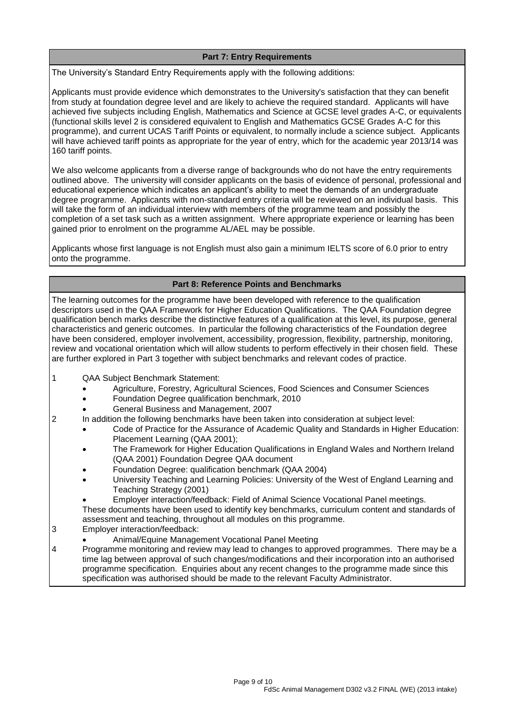# **Part 7: Entry Requirements**

The University's Standard Entry Requirements apply with the following additions:

Applicants must provide evidence which demonstrates to the University's satisfaction that they can benefit from study at foundation degree level and are likely to achieve the required standard. Applicants will have achieved five subjects including English, Mathematics and Science at GCSE level grades A-C, or equivalents (functional skills level 2 is considered equivalent to English and Mathematics GCSE Grades A-C for this programme), and current UCAS Tariff Points or equivalent, to normally include a science subject. Applicants will have achieved tariff points as appropriate for the year of entry, which for the academic year 2013/14 was 160 tariff points.

We also welcome applicants from a diverse range of backgrounds who do not have the entry requirements outlined above. The university will consider applicants on the basis of evidence of personal, professional and educational experience which indicates an applicant's ability to meet the demands of an undergraduate degree programme. Applicants with non-standard entry criteria will be reviewed on an individual basis. This will take the form of an individual interview with members of the programme team and possibly the completion of a set task such as a written assignment. Where appropriate experience or learning has been gained prior to enrolment on the programme AL/AEL may be possible.

Applicants whose first language is not English must also gain a minimum IELTS score of 6.0 prior to entry onto the programme.

## **Part 8: Reference Points and Benchmarks**

The learning outcomes for the programme have been developed with reference to the qualification descriptors used in the QAA Framework for Higher Education Qualifications. The QAA Foundation degree qualification bench marks describe the distinctive features of a qualification at this level, its purpose, general characteristics and generic outcomes. In particular the following characteristics of the Foundation degree have been considered, employer involvement, accessibility, progression, flexibility, partnership, monitoring, review and vocational orientation which will allow students to perform effectively in their chosen field. These are further explored in Part 3 together with subject benchmarks and relevant codes of practice.

- 1 QAA Subject Benchmark Statement:
	- Agriculture, Forestry, Agricultural Sciences, Food Sciences and Consumer Sciences
	- Foundation Degree qualification benchmark, 2010
	- General Business and Management, 2007
- 2 In addition the following benchmarks have been taken into consideration at subject level:
	- Code of Practice for the Assurance of Academic Quality and Standards in Higher Education: Placement Learning (QAA 2001);
	- The Framework for Higher Education Qualifications in England Wales and Northern Ireland (QAA 2001) Foundation Degree QAA document
	- Foundation Degree: qualification benchmark (QAA 2004)
	- University Teaching and Learning Policies: University of the West of England Learning and Teaching Strategy (2001)
	- Employer interaction/feedback: Field of Animal Science Vocational Panel meetings.

These documents have been used to identify key benchmarks, curriculum content and standards of assessment and teaching, throughout all modules on this programme.

- 3 Employer interaction/feedback:
	- Animal/Equine Management Vocational Panel Meeting
- 4 Programme monitoring and review may lead to changes to approved programmes. There may be a time lag between approval of such changes/modifications and their incorporation into an authorised programme specification. Enquiries about any recent changes to the programme made since this specification was authorised should be made to the relevant Faculty Administrator.